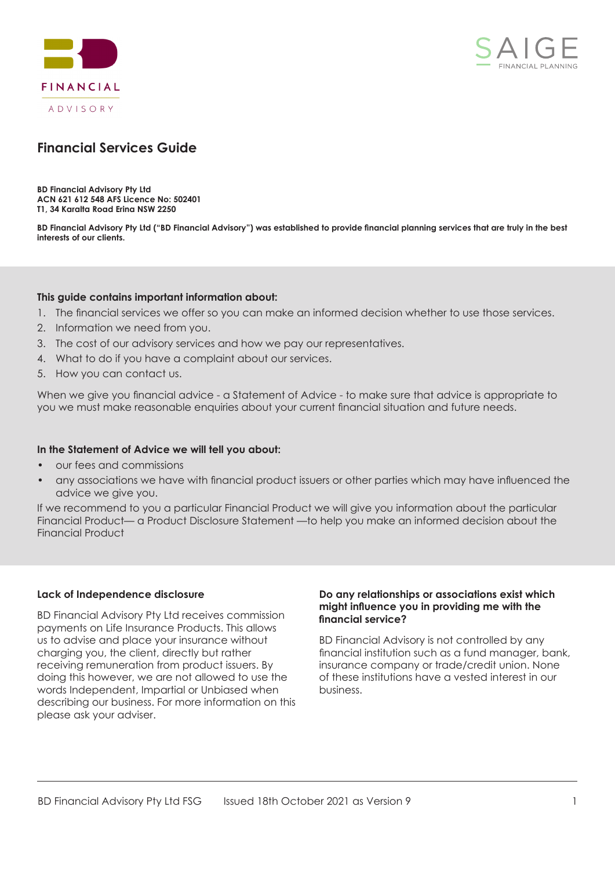



# **Financial Services Guide**

**BD Financial Advisory Pty Ltd ACN 621 612 548 AFS Licence No: 502401 T1, 34 Karalta Road Erina NSW 2250**

**BD Financial Advisory Pty Ltd ("BD Financial Advisory") was established to provide financial planning services that are truly in the best interests of our clients.**

### **This guide contains important information about:**

- 1. The financial services we offer so you can make an informed decision whether to use those services.
- 2. Information we need from you.
- 3. The cost of our advisory services and how we pay our representatives.
- 4. What to do if you have a complaint about our services.
- 5. How you can contact us.

When we give you financial advice - a Statement of Advice - to make sure that advice is appropriate to you we must make reasonable enquiries about your current financial situation and future needs.

#### **In the Statement of Advice we will tell you about:**

- our fees and commissions
- any associations we have with financial product issuers or other parties which may have influenced the advice we give you.

If we recommend to you a particular Financial Product we will give you information about the particular Financial Product— a Product Disclosure Statement —to help you make an informed decision about the Financial Product

#### **Lack of Independence disclosure**

BD Financial Advisory Pty Ltd receives commission payments on Life Insurance Products. This allows us to advise and place your insurance without charging you, the client, directly but rather receiving remuneration from product issuers. By doing this however, we are not allowed to use the words Independent, Impartial or Unbiased when describing our business. For more information on this please ask your adviser.

#### **Do any relationships or associations exist which might influence you in providing me with the financial service?**

BD Financial Advisory is not controlled by any financial institution such as a fund manager, bank, insurance company or trade/credit union. None of these institutions have a vested interest in our business.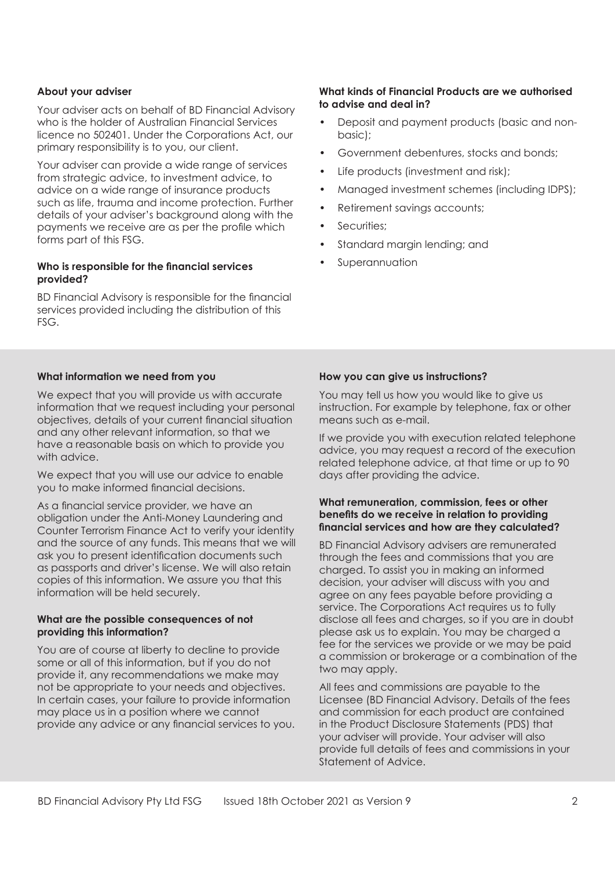## **About your adviser**

Your adviser acts on behalf of BD Financial Advisory who is the holder of Australian Financial Services licence no 502401. Under the Corporations Act, our primary responsibility is to you, our client.

Your adviser can provide a wide range of services from strategic advice, to investment advice, to advice on a wide range of insurance products such as life, trauma and income protection. Further details of your adviser's background along with the payments we receive are as per the profile which forms part of this FSG.

### **Who is responsible for the financial services provided?**

BD Financial Advisory is responsible for the financial services provided including the distribution of this FSG.

## **What information we need from you**

We expect that you will provide us with accurate information that we request including your personal objectives, details of your current financial situation and any other relevant information, so that we have a reasonable basis on which to provide you with advice.

We expect that you will use our advice to enable you to make informed financial decisions.

As a financial service provider, we have an obligation under the Anti-Money Laundering and Counter Terrorism Finance Act to verify your identity and the source of any funds. This means that we will ask you to present identification documents such as passports and driver's license. We will also retain copies of this information. We assure you that this information will be held securely.

#### **What are the possible consequences of not providing this information?**

You are of course at liberty to decline to provide some or all of this information, but if you do not provide it, any recommendations we make may not be appropriate to your needs and objectives. In certain cases, your failure to provide information may place us in a position where we cannot provide any advice or any financial services to you.

#### **What kinds of Financial Products are we authorised to advise and deal in?**

- Deposit and payment products (basic and nonbasic);
- Government debentures, stocks and bonds;
- Life products (investment and risk);
- Managed investment schemes (including IDPS);
- Retirement savings accounts;
- Securities:
- Standard margin lending; and
- **Superannuation**

## **How you can give us instructions?**

You may tell us how you would like to give us instruction. For example by telephone, fax or other means such as e-mail.

If we provide you with execution related telephone advice, you may request a record of the execution related telephone advice, at that time or up to 90 days after providing the advice.

#### **What remuneration, commission, fees or other benefits do we receive in relation to providing financial services and how are they calculated?**

BD Financial Advisory advisers are remunerated through the fees and commissions that you are charged. To assist you in making an informed decision, your adviser will discuss with you and agree on any fees payable before providing a service. The Corporations Act requires us to fully disclose all fees and charges, so if you are in doubt please ask us to explain. You may be charged a fee for the services we provide or we may be paid a commission or brokerage or a combination of the two may apply.

All fees and commissions are payable to the Licensee (BD Financial Advisory. Details of the fees and commission for each product are contained in the Product Disclosure Statements (PDS) that your adviser will provide. Your adviser will also provide full details of fees and commissions in your Statement of Advice.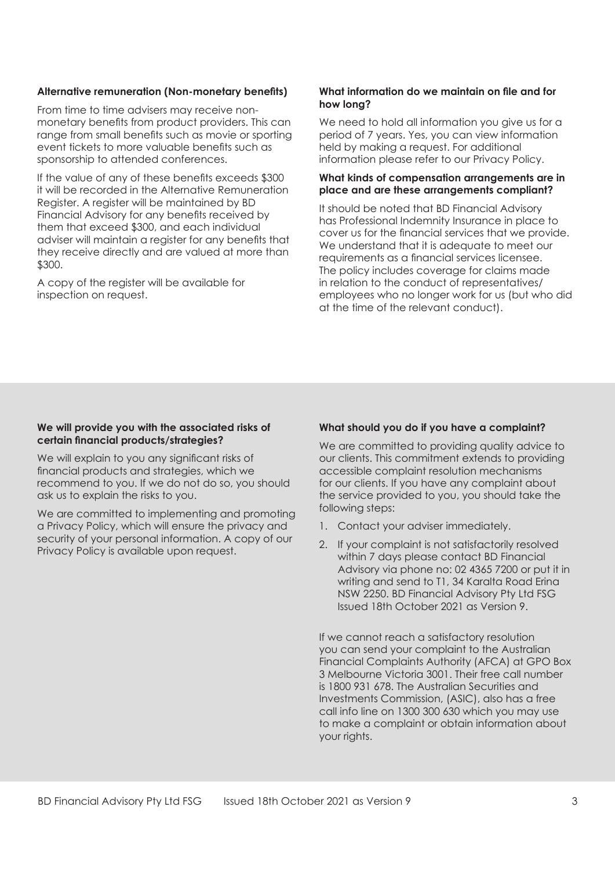#### **Alternative remuneration (Non-monetary benefits)**

From time to time advisers may receive nonmonetary benefits from product providers. This can range from small benefits such as movie or sporting event tickets to more valuable benefits such as sponsorship to attended conferences.

If the value of any of these benefits exceeds \$300 it will be recorded in the Alternative Remuneration Register. A register will be maintained by BD Financial Advisory for any benefits received by them that exceed \$300, and each individual adviser will maintain a register for any benefits that they receive directly and are valued at more than \$300.

A copy of the register will be available for inspection on request.

#### **What information do we maintain on file and for how long?**

We need to hold all information you give us for a period of 7 years. Yes, you can view information held by making a request. For additional information please refer to our Privacy Policy.

#### **What kinds of compensation arrangements are in place and are these arrangements compliant?**

It should be noted that BD Financial Advisory has Professional Indemnity Insurance in place to cover us for the financial services that we provide. We understand that it is adequate to meet our requirements as a financial services licensee. The policy includes coverage for claims made in relation to the conduct of representatives/ employees who no longer work for us (but who did at the time of the relevant conduct).

#### **We will provide you with the associated risks of certain financial products/strategies?**

We will explain to you any significant risks of financial products and strategies, which we recommend to you. If we do not do so, you should ask us to explain the risks to you.

We are committed to implementing and promoting a Privacy Policy, which will ensure the privacy and security of your personal information. A copy of our Privacy Policy is available upon request.

## **What should you do if you have a complaint?**

We are committed to providing quality advice to our clients. This commitment extends to providing accessible complaint resolution mechanisms for our clients. If you have any complaint about the service provided to you, you should take the following steps:

- 1. Contact your adviser immediately.
- 2. If your complaint is not satisfactorily resolved within 7 days please contact BD Financial Advisory via phone no: 02 4365 7200 or put it in writing and send to T1, 34 Karalta Road Erina NSW 2250. BD Financial Advisory Pty Ltd FSG Issued 18th October 2021 as Version 9.

If we cannot reach a satisfactory resolution you can send your complaint to the Australian Financial Complaints Authority (AFCA) at GPO Box 3 Melbourne Victoria 3001. Their free call number is 1800 931 678. The Australian Securities and Investments Commission, (ASIC), also has a free call info line on 1300 300 630 which you may use to make a complaint or obtain information about your rights.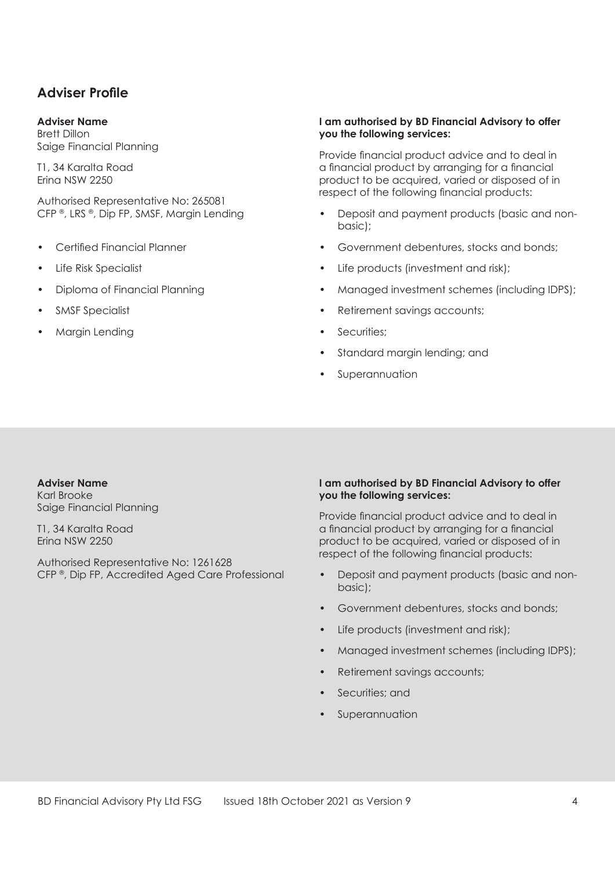# **Adviser Profile**

## **Adviser Name**

Brett Dillon Saige Financial Planning

T1, 34 Karalta Road Erina NSW 2250

Authorised Representative No: 265081 CFP ® , LRS ® , Dip FP, SMSF, Margin Lending

- Certified Financial Planner
- Life Risk Specialist
- Diploma of Financial Planning
- SMSF Specialist
- Margin Lending

#### **I am authorised by BD Financial Advisory to offer you the following services:**

Provide financial product advice and to deal in a financial product by arranging for a financial product to be acquired, varied or disposed of in respect of the following financial products:

- Deposit and payment products (basic and nonbasic);
- Government debentures, stocks and bonds;
- Life products (investment and risk);
- Managed investment schemes (including IDPS);
- Retirement savinas accounts:
- Securities;
- Standard margin lending; and
- **Superannuation**

# **Adviser Name**

Karl Brooke Saige Financial Planning

T1, 34 Karalta Road Erina NSW 2250

Authorised Representative No: 1261628 CFP ® , Dip FP, Accredited Aged Care Professional

### **I am authorised by BD Financial Advisory to offer you the following services:**

Provide financial product advice and to deal in a financial product by arranging for a financial product to be acquired, varied or disposed of in respect of the following financial products:

- Deposit and payment products (basic and nonbasic);
- Government debentures, stocks and bonds;
- Life products (investment and risk);
- Managed investment schemes (including IDPS);
- Retirement savings accounts;
- Securities: and
- **Superannuation**